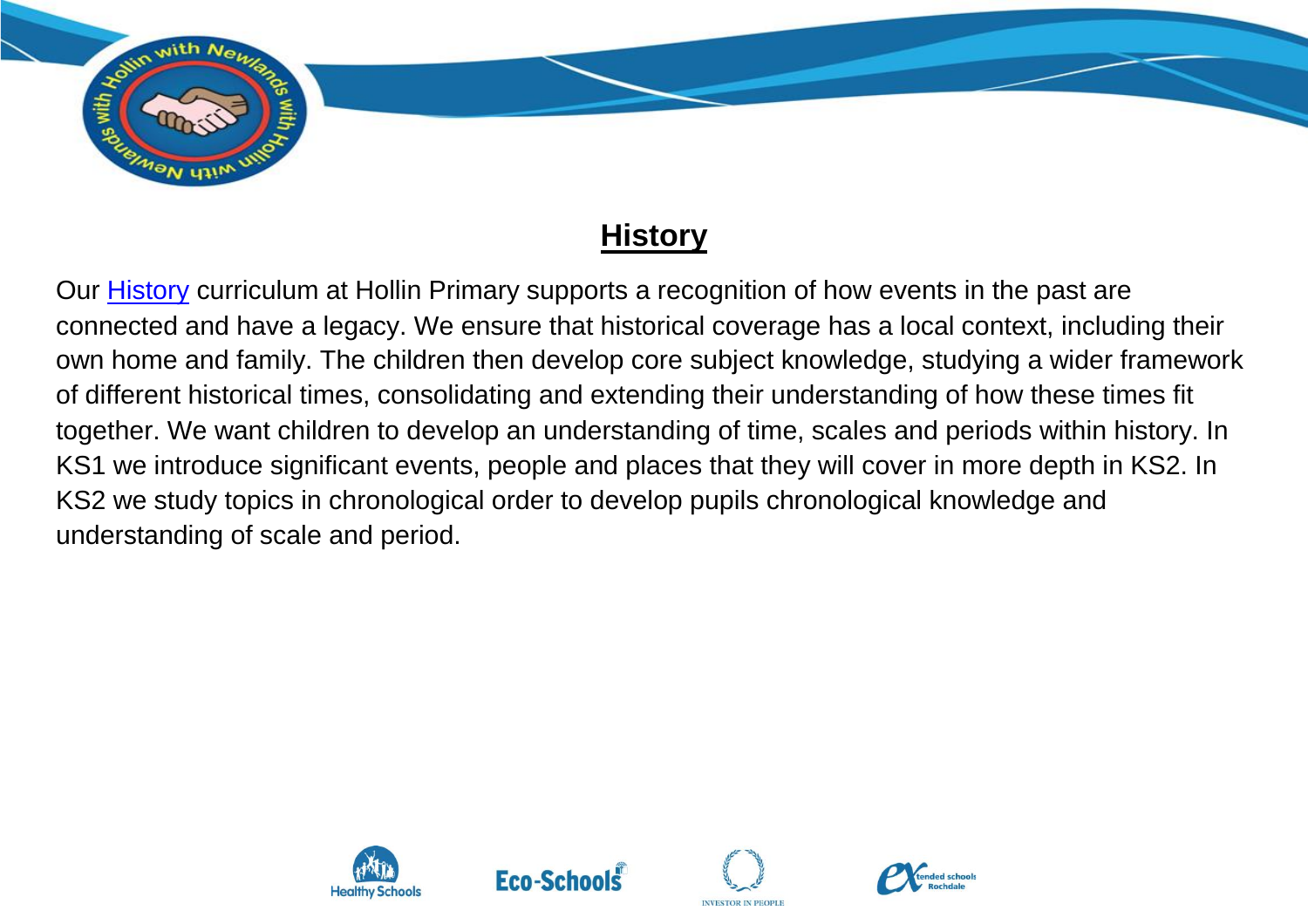

## **History**

Our [History](https://assets.publishing.service.gov.uk/government/uploads/system/uploads/attachment_data/file/239035/PRIMARY_national_curriculum_-_History.pdf) curriculum at Hollin Primary supports a recognition of how events in the past are connected and have a legacy. We ensure that historical coverage has a local context, including their own home and family. The children then develop core subject knowledge, studying a wider framework of different historical times, consolidating and extending their understanding of how these times fit together. We want children to develop an understanding of time, scales and periods within history. In KS1 we introduce significant events, people and places that they will cover in more depth in KS2. In KS2 we study topics in chronological order to develop pupils chronological knowledge and understanding of scale and period.







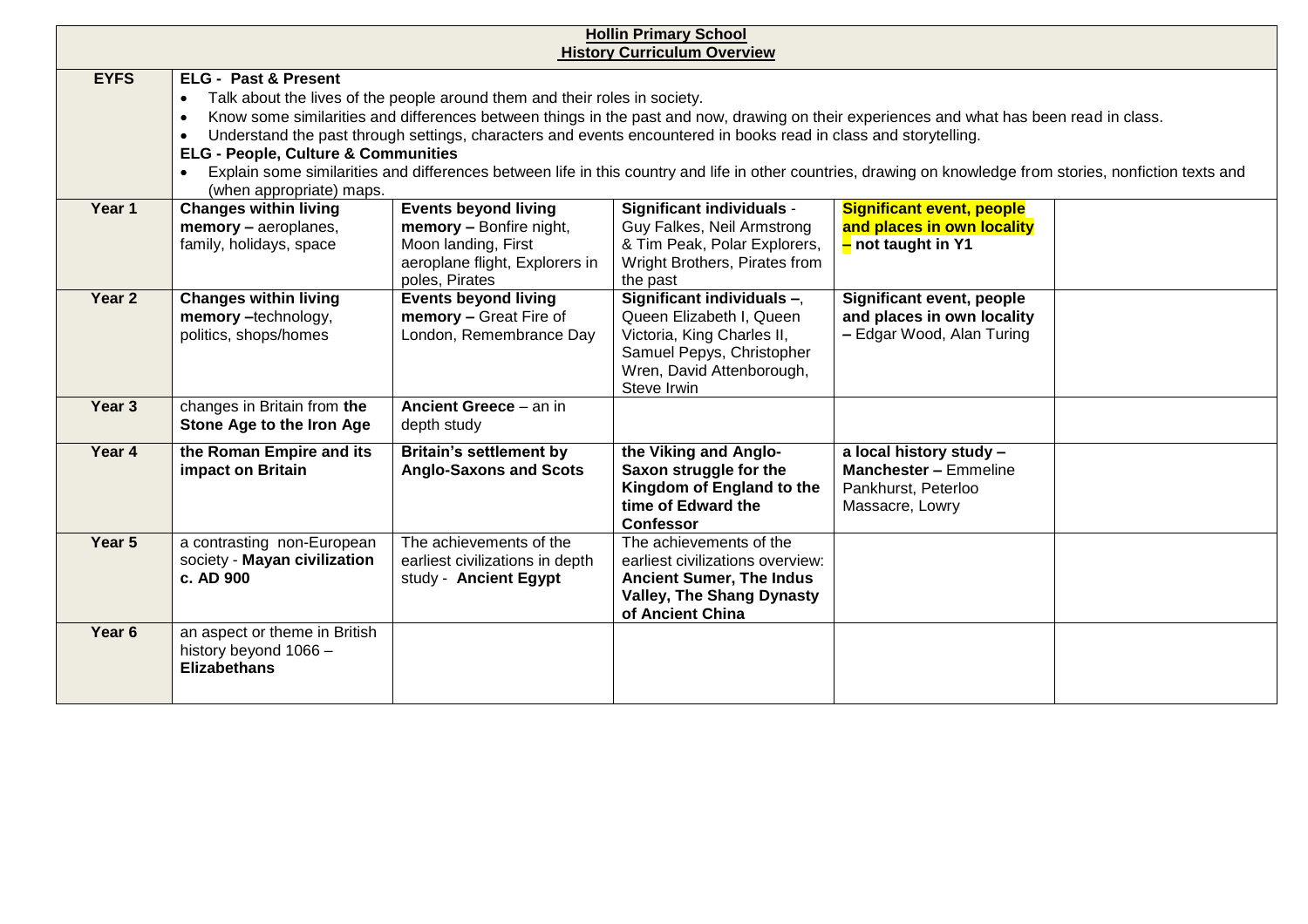| <b>Hollin Primary School</b><br><b>History Curriculum Overview</b> |                                                                                                                                                                                                                                                                                                                                                                                                                                                                                                                                                                                                                                                      |                                                                                                                                   |                                                                                                                                                               |                                                                                                   |  |  |  |
|--------------------------------------------------------------------|------------------------------------------------------------------------------------------------------------------------------------------------------------------------------------------------------------------------------------------------------------------------------------------------------------------------------------------------------------------------------------------------------------------------------------------------------------------------------------------------------------------------------------------------------------------------------------------------------------------------------------------------------|-----------------------------------------------------------------------------------------------------------------------------------|---------------------------------------------------------------------------------------------------------------------------------------------------------------|---------------------------------------------------------------------------------------------------|--|--|--|
| <b>EYFS</b>                                                        | <b>ELG - Past &amp; Present</b><br>Talk about the lives of the people around them and their roles in society.<br>$\bullet$<br>Know some similarities and differences between things in the past and now, drawing on their experiences and what has been read in class.<br>$\bullet$<br>Understand the past through settings, characters and events encountered in books read in class and storytelling.<br><b>ELG - People, Culture &amp; Communities</b><br>Explain some similarities and differences between life in this country and life in other countries, drawing on knowledge from stories, nonfiction texts and<br>(when appropriate) maps. |                                                                                                                                   |                                                                                                                                                               |                                                                                                   |  |  |  |
| Year 1                                                             | <b>Changes within living</b><br>memory - aeroplanes,<br>family, holidays, space                                                                                                                                                                                                                                                                                                                                                                                                                                                                                                                                                                      | <b>Events beyond living</b><br>memory - Bonfire night,<br>Moon landing, First<br>aeroplane flight, Explorers in<br>poles, Pirates | Significant individuals -<br>Guy Falkes, Neil Armstrong<br>& Tim Peak, Polar Explorers,<br>Wright Brothers, Pirates from<br>the past                          | <b>Significant event, people</b><br>and places in own locality<br>$-$ not taught in Y1            |  |  |  |
| Year 2                                                             | <b>Changes within living</b><br>memory -technology,<br>politics, shops/homes                                                                                                                                                                                                                                                                                                                                                                                                                                                                                                                                                                         | <b>Events beyond living</b><br>memory - Great Fire of<br>London, Remembrance Day                                                  | Significant individuals -,<br>Queen Elizabeth I, Queen<br>Victoria, King Charles II,<br>Samuel Pepys, Christopher<br>Wren, David Attenborough,<br>Steve Irwin | Significant event, people<br>and places in own locality<br>- Edgar Wood, Alan Turing              |  |  |  |
| Year 3                                                             | changes in Britain from the<br>Stone Age to the Iron Age                                                                                                                                                                                                                                                                                                                                                                                                                                                                                                                                                                                             | Ancient Greece - an in<br>depth study                                                                                             |                                                                                                                                                               |                                                                                                   |  |  |  |
| Year 4                                                             | the Roman Empire and its<br>impact on Britain                                                                                                                                                                                                                                                                                                                                                                                                                                                                                                                                                                                                        | <b>Britain's settlement by</b><br><b>Anglo-Saxons and Scots</b>                                                                   | the Viking and Anglo-<br>Saxon struggle for the<br>Kingdom of England to the<br>time of Edward the<br>Confessor                                               | a local history study -<br><b>Manchester - Emmeline</b><br>Pankhurst, Peterloo<br>Massacre, Lowry |  |  |  |
| Year 5                                                             | a contrasting non-European<br>society - Mayan civilization<br>c. AD 900                                                                                                                                                                                                                                                                                                                                                                                                                                                                                                                                                                              | The achievements of the<br>earliest civilizations in depth<br>study - Ancient Egypt                                               | The achievements of the<br>earliest civilizations overview:<br><b>Ancient Sumer, The Indus</b><br><b>Valley, The Shang Dynasty</b><br>of Ancient China        |                                                                                                   |  |  |  |
| Year <sub>6</sub>                                                  | an aspect or theme in British<br>history beyond 1066 -<br><b>Elizabethans</b>                                                                                                                                                                                                                                                                                                                                                                                                                                                                                                                                                                        |                                                                                                                                   |                                                                                                                                                               |                                                                                                   |  |  |  |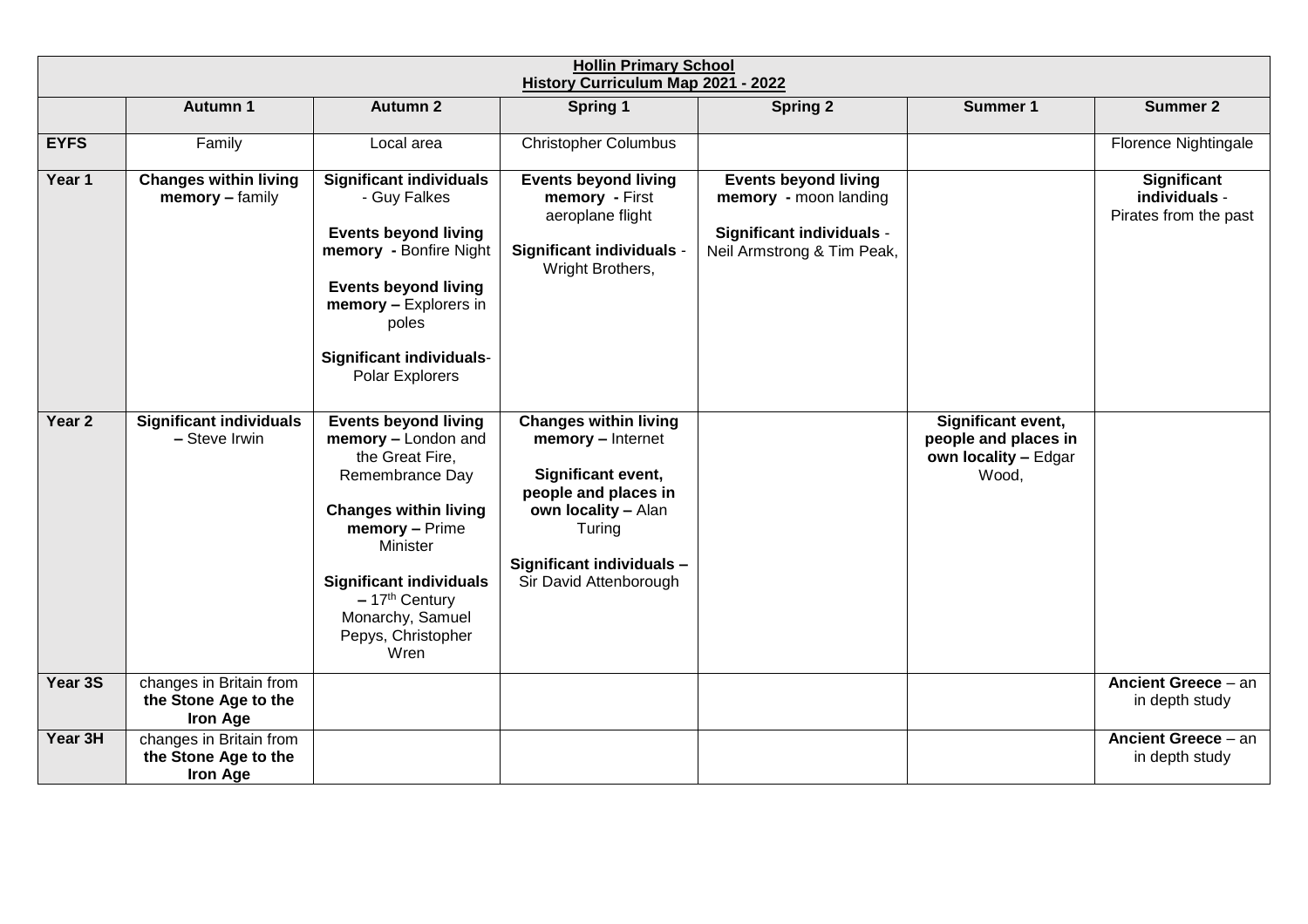| <b>Hollin Primary School</b><br>History Curriculum Map 2021 - 2022 |                                                                    |                                                                                                                                                                                                                                                                      |                                                                                                                                                                                         |                                                                                                                        |                                                                             |                                                       |  |
|--------------------------------------------------------------------|--------------------------------------------------------------------|----------------------------------------------------------------------------------------------------------------------------------------------------------------------------------------------------------------------------------------------------------------------|-----------------------------------------------------------------------------------------------------------------------------------------------------------------------------------------|------------------------------------------------------------------------------------------------------------------------|-----------------------------------------------------------------------------|-------------------------------------------------------|--|
|                                                                    | <b>Autumn 1</b>                                                    | <b>Autumn 2</b>                                                                                                                                                                                                                                                      | <b>Spring 1</b>                                                                                                                                                                         | <b>Spring 2</b>                                                                                                        | Summer 1                                                                    | <b>Summer 2</b>                                       |  |
| <b>EYFS</b>                                                        | Family                                                             | Local area                                                                                                                                                                                                                                                           | <b>Christopher Columbus</b>                                                                                                                                                             |                                                                                                                        |                                                                             | Florence Nightingale                                  |  |
| Year 1                                                             | <b>Changes within living</b><br>memory - family                    | <b>Significant individuals</b><br>- Guy Falkes<br><b>Events beyond living</b><br>memory - Bonfire Night<br><b>Events beyond living</b><br>memory - Explorers in<br>poles<br><b>Significant individuals-</b><br>Polar Explorers                                       | <b>Events beyond living</b><br>memory - First<br>aeroplane flight<br>Significant individuals -<br>Wright Brothers,                                                                      | <b>Events beyond living</b><br>memory - moon landing<br><b>Significant individuals -</b><br>Neil Armstrong & Tim Peak, |                                                                             | Significant<br>individuals -<br>Pirates from the past |  |
| Year <sub>2</sub>                                                  | <b>Significant individuals</b><br>- Steve Irwin                    | <b>Events beyond living</b><br>memory - London and<br>the Great Fire,<br>Remembrance Day<br><b>Changes within living</b><br>memory - Prime<br><b>Minister</b><br><b>Significant individuals</b><br>$-17th$ Century<br>Monarchy, Samuel<br>Pepys, Christopher<br>Wren | <b>Changes within living</b><br>memory - Internet<br>Significant event,<br>people and places in<br>own locality - Alan<br>Turing<br>Significant individuals -<br>Sir David Attenborough |                                                                                                                        | Significant event,<br>people and places in<br>own locality - Edgar<br>Wood, |                                                       |  |
| Year 3S                                                            | changes in Britain from<br>the Stone Age to the<br><b>Iron Age</b> |                                                                                                                                                                                                                                                                      |                                                                                                                                                                                         |                                                                                                                        |                                                                             | <b>Ancient Greece - an</b><br>in depth study          |  |
| Year 3H                                                            | changes in Britain from<br>the Stone Age to the<br><b>Iron Age</b> |                                                                                                                                                                                                                                                                      |                                                                                                                                                                                         |                                                                                                                        |                                                                             | <b>Ancient Greece - an</b><br>in depth study          |  |